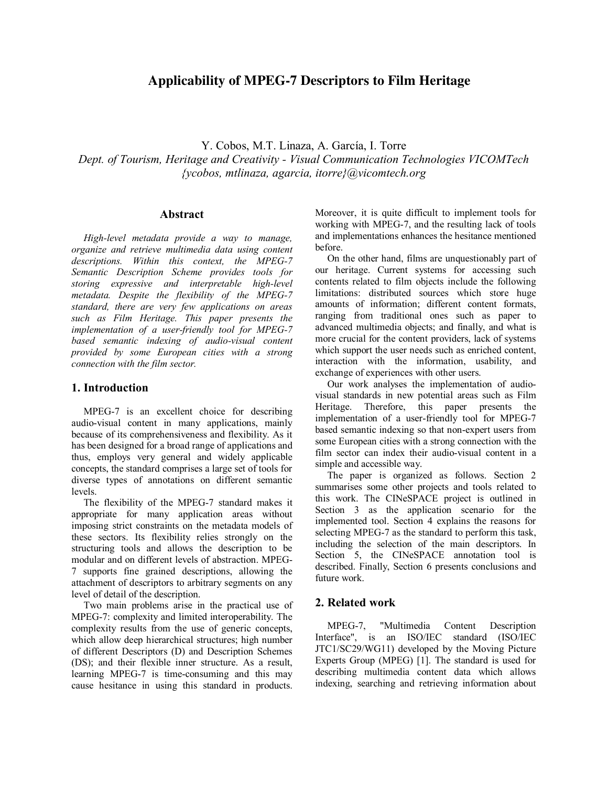# **Applicability of MPEG-7 Descriptors to Film Heritage**

Y. Cobos, M.T. Linaza, A. García, I. Torre

*Dept. of Tourism, Heritage and Creativity - Visual Communication Technologies VICOMTech {ycobos, mtlinaza, agarcia, itorre}@vicomtech.org* 

#### **Abstract**

*High-level metadata provide a way to manage, organize and retrieve multimedia data using content descriptions. Within this context, the MPEG-7 Semantic Description Scheme provides tools for storing expressive and interpretable high-level metadata. Despite the flexibility of the MPEG-7 standard, there are very few applications on areas such as Film Heritage. This paper presents the implementation of a user-friendly tool for MPEG-7 based semantic indexing of audio-visual content provided by some European cities with a strong connection with the film sector.* 

## **1. Introduction**

MPEG-7 is an excellent choice for describing audio-visual content in many applications, mainly because of its comprehensiveness and flexibility. As it has been designed for a broad range of applications and thus, employs very general and widely applicable concepts, the standard comprises a large set of tools for diverse types of annotations on different semantic levels.

The flexibility of the MPEG-7 standard makes it appropriate for many application areas without imposing strict constraints on the metadata models of these sectors. Its flexibility relies strongly on the structuring tools and allows the description to be modular and on different levels of abstraction. MPEG-7 supports fine grained descriptions, allowing the attachment of descriptors to arbitrary segments on any level of detail of the description.

Two main problems arise in the practical use of MPEG-7: complexity and limited interoperability. The complexity results from the use of generic concepts, which allow deep hierarchical structures; high number of different Descriptors (D) and Description Schemes (DS); and their flexible inner structure. As a result, learning MPEG-7 is time-consuming and this may cause hesitance in using this standard in products.

Moreover, it is quite difficult to implement tools for working with MPEG-7, and the resulting lack of tools and implementations enhances the hesitance mentioned before.

On the other hand, films are unquestionably part of our heritage. Current systems for accessing such contents related to film objects include the following limitations: distributed sources which store huge amounts of information; different content formats, ranging from traditional ones such as paper to advanced multimedia objects; and finally, and what is more crucial for the content providers, lack of systems which support the user needs such as enriched content, interaction with the information, usability, and exchange of experiences with other users.

Our work analyses the implementation of audiovisual standards in new potential areas such as Film Heritage. Therefore, this paper presents the implementation of a user-friendly tool for MPEG-7 based semantic indexing so that non-expert users from some European cities with a strong connection with the film sector can index their audio-visual content in a simple and accessible way.

The paper is organized as follows. Section 2 summarises some other projects and tools related to this work. The CINeSPACE project is outlined in Section 3 as the application scenario for the implemented tool. Section 4 explains the reasons for selecting MPEG-7 as the standard to perform this task, including the selection of the main descriptors. In Section 5, the CINeSPACE annotation tool is described. Finally, Section 6 presents conclusions and future work.

#### **2. Related work**

MPEG-7, "Multimedia Content Description Interface", is an ISO/IEC standard (ISO/IEC JTC1/SC29/WG11) developed by the Moving Picture Experts Group (MPEG) [1]. The standard is used for describing multimedia content data which allows indexing, searching and retrieving information about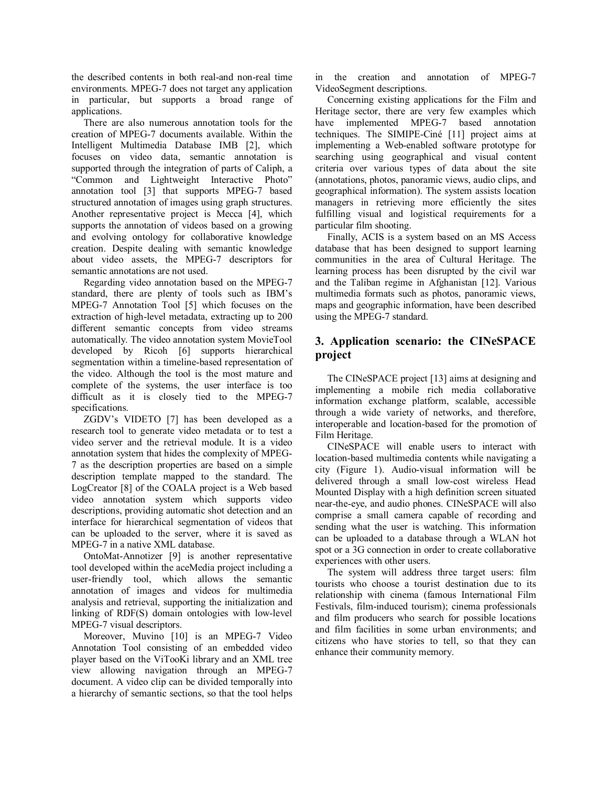the described contents in both real-and non-real time environments. MPEG-7 does not target any application in particular, but supports a broad range of applications.

There are also numerous annotation tools for the creation of MPEG-7 documents available. Within the Intelligent Multimedia Database IMB [2], which focuses on video data, semantic annotation is supported through the integration of parts of Caliph, a "Common and Lightweight Interactive Photo" annotation tool [3] that supports MPEG-7 based structured annotation of images using graph structures. Another representative project is Mecca [4], which supports the annotation of videos based on a growing and evolving ontology for collaborative knowledge creation. Despite dealing with semantic knowledge about video assets, the MPEG-7 descriptors for semantic annotations are not used.

Regarding video annotation based on the MPEG-7 standard, there are plenty of tools such as IBM's MPEG-7 Annotation Tool [5] which focuses on the extraction of high-level metadata, extracting up to 200 different semantic concepts from video streams automatically. The video annotation system MovieTool developed by Ricoh [6] supports hierarchical segmentation within a timeline-based representation of the video. Although the tool is the most mature and complete of the systems, the user interface is too difficult as it is closely tied to the MPEG-7 specifications.

ZGDV's VIDETO [7] has been developed as a research tool to generate video metadata or to test a video server and the retrieval module. It is a video annotation system that hides the complexity of MPEG-7 as the description properties are based on a simple description template mapped to the standard. The LogCreator [8] of the COALA project is a Web based video annotation system which supports video descriptions, providing automatic shot detection and an interface for hierarchical segmentation of videos that can be uploaded to the server, where it is saved as MPEG-7 in a native XML database.

OntoMat-Annotizer [9] is another representative tool developed within the aceMedia project including a user-friendly tool, which allows the semantic annotation of images and videos for multimedia analysis and retrieval, supporting the initialization and linking of RDF(S) domain ontologies with low-level MPEG-7 visual descriptors.

Moreover, Muvino [10] is an MPEG-7 Video Annotation Tool consisting of an embedded video player based on the ViTooKi library and an XML tree view allowing navigation through an MPEG-7 document. A video clip can be divided temporally into a hierarchy of semantic sections, so that the tool helps in the creation and annotation of MPEG-7 VideoSegment descriptions.

Concerning existing applications for the Film and Heritage sector, there are very few examples which have implemented MPEG-7 based annotation techniques. The SIMIPE-Ciné [11] project aims at implementing a Web-enabled software prototype for searching using geographical and visual content criteria over various types of data about the site (annotations, photos, panoramic views, audio clips, and geographical information). The system assists location managers in retrieving more efficiently the sites fulfilling visual and logistical requirements for a particular film shooting.

Finally, ACIS is a system based on an MS Access database that has been designed to support learning communities in the area of Cultural Heritage. The learning process has been disrupted by the civil war and the Taliban regime in Afghanistan [12]. Various multimedia formats such as photos, panoramic views, maps and geographic information, have been described using the MPEG-7 standard.

## **3. Application scenario: the CINeSPACE project**

The CINeSPACE project [13] aims at designing and implementing a mobile rich media collaborative information exchange platform, scalable, accessible through a wide variety of networks, and therefore, interoperable and location-based for the promotion of Film Heritage.

CINeSPACE will enable users to interact with location-based multimedia contents while navigating a city (Figure 1). Audio-visual information will be delivered through a small low-cost wireless Head Mounted Display with a high definition screen situated near-the-eye, and audio phones. CINeSPACE will also comprise a small camera capable of recording and sending what the user is watching. This information can be uploaded to a database through a WLAN hot spot or a 3G connection in order to create collaborative experiences with other users.

The system will address three target users: film tourists who choose a tourist destination due to its relationship with cinema (famous International Film Festivals, film-induced tourism); cinema professionals and film producers who search for possible locations and film facilities in some urban environments; and citizens who have stories to tell, so that they can enhance their community memory.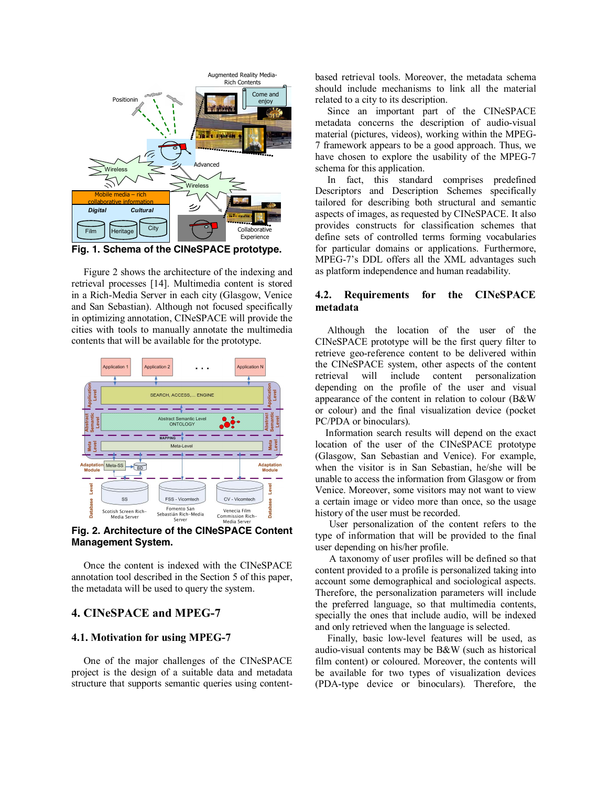

**Fig. 1. Schema of the CINeSPACE prototype.** 

Figure 2 shows the architecture of the indexing and retrieval processes [14]. Multimedia content is stored in a Rich-Media Server in each city (Glasgow, Venice and San Sebastian). Although not focused specifically in optimizing annotation, CINeSPACE will provide the cities with tools to manually annotate the multimedia contents that will be available for the prototype.



**Fig. 2. Architecture of the CINeSPACE Content Management System.** 

Once the content is indexed with the CINeSPACE annotation tool described in the Section 5 of this paper, the metadata will be used to query the system.

#### **4. CINeSPACE and MPEG-7**

#### **4.1. Motivation for using MPEG-7**

One of the major challenges of the CINeSPACE project is the design of a suitable data and metadata structure that supports semantic queries using contentbased retrieval tools. Moreover, the metadata schema should include mechanisms to link all the material related to a city to its description.

Since an important part of the CINeSPACE metadata concerns the description of audio-visual material (pictures, videos), working within the MPEG-7 framework appears to be a good approach. Thus, we have chosen to explore the usability of the MPEG-7 schema for this application.

In fact, this standard comprises predefined Descriptors and Description Schemes specifically tailored for describing both structural and semantic aspects of images, as requested by CINeSPACE. It also provides constructs for classification schemes that define sets of controlled terms forming vocabularies for particular domains or applications. Furthermore, MPEG-7's DDL offers all the XML advantages such as platform independence and human readability.

## **4.2. Requirements for the CINeSPACE metadata**

Although the location of the user of the CINeSPACE prototype will be the first query filter to retrieve geo-reference content to be delivered within the CINeSPACE system, other aspects of the content retrieval will include content personalization depending on the profile of the user and visual appearance of the content in relation to colour (B&W or colour) and the final visualization device (pocket PC/PDA or binoculars).

Information search results will depend on the exact location of the user of the CINeSPACE prototype (Glasgow, San Sebastian and Venice). For example, when the visitor is in San Sebastian, he/she will be unable to access the information from Glasgow or from Venice. Moreover, some visitors may not want to view a certain image or video more than once, so the usage history of the user must be recorded.

User personalization of the content refers to the type of information that will be provided to the final user depending on his/her profile.

A taxonomy of user profiles will be defined so that content provided to a profile is personalized taking into account some demographical and sociological aspects. Therefore, the personalization parameters will include the preferred language, so that multimedia contents, specially the ones that include audio, will be indexed and only retrieved when the language is selected.

Finally, basic low-level features will be used, as audio-visual contents may be B&W (such as historical film content) or coloured. Moreover, the contents will be available for two types of visualization devices (PDA-type device or binoculars). Therefore, the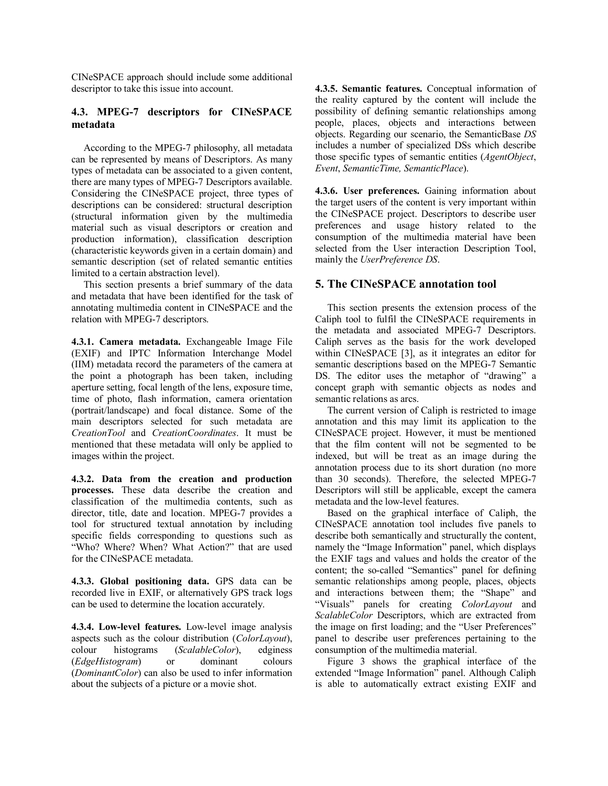CINeSPACE approach should include some additional descriptor to take this issue into account.

## **4.3. MPEG-7 descriptors for CINeSPACE metadata**

According to the MPEG-7 philosophy, all metadata can be represented by means of Descriptors. As many types of metadata can be associated to a given content, there are many types of MPEG-7 Descriptors available. Considering the CINeSPACE project, three types of descriptions can be considered: structural description (structural information given by the multimedia material such as visual descriptors or creation and production information), classification description (characteristic keywords given in a certain domain) and semantic description (set of related semantic entities limited to a certain abstraction level).

This section presents a brief summary of the data and metadata that have been identified for the task of annotating multimedia content in CINeSPACE and the relation with MPEG-7 descriptors.

**4.3.1. Camera metadata.** Exchangeable Image File (EXIF) and IPTC Information Interchange Model (IIM) metadata record the parameters of the camera at the point a photograph has been taken, including aperture setting, focal length of the lens, exposure time, time of photo, flash information, camera orientation (portrait/landscape) and focal distance. Some of the main descriptors selected for such metadata are *CreationTool* and *CreationCoordinates*. It must be mentioned that these metadata will only be applied to images within the project.

**4.3.2. Data from the creation and production processes.** These data describe the creation and classification of the multimedia contents, such as director, title, date and location. MPEG-7 provides a tool for structured textual annotation by including specific fields corresponding to questions such as "Who? Where? When? What Action?" that are used for the CINeSPACE metadata.

**4.3.3. Global positioning data.** GPS data can be recorded live in EXIF, or alternatively GPS track logs can be used to determine the location accurately.

**4.3.4. Low-level features.** Low-level image analysis aspects such as the colour distribution (*ColorLayout*), colour histograms (*ScalableColor*), edginess (*EdgeHistogram*) or dominant colours (*DominantColor*) can also be used to infer information about the subjects of a picture or a movie shot.

**4.3.5. Semantic features.** Conceptual information of the reality captured by the content will include the possibility of defining semantic relationships among people, places, objects and interactions between objects. Regarding our scenario, the SemanticBase *DS* includes a number of specialized DSs which describe those specific types of semantic entities (*AgentObject*, *Event*, *SemanticTime, SemanticPlace*).

**4.3.6. User preferences.** Gaining information about the target users of the content is very important within the CINeSPACE project. Descriptors to describe user preferences and usage history related to the consumption of the multimedia material have been selected from the User interaction Description Tool, mainly the *UserPreference DS*.

## **5. The CINeSPACE annotation tool**

This section presents the extension process of the Caliph tool to fulfil the CINeSPACE requirements in the metadata and associated MPEG-7 Descriptors. Caliph serves as the basis for the work developed within CINeSPACE [3], as it integrates an editor for semantic descriptions based on the MPEG-7 Semantic DS. The editor uses the metaphor of "drawing" a concept graph with semantic objects as nodes and semantic relations as arcs.

The current version of Caliph is restricted to image annotation and this may limit its application to the CINeSPACE project. However, it must be mentioned that the film content will not be segmented to be indexed, but will be treat as an image during the annotation process due to its short duration (no more than 30 seconds). Therefore, the selected MPEG-7 Descriptors will still be applicable, except the camera metadata and the low-level features.

Based on the graphical interface of Caliph, the CINeSPACE annotation tool includes five panels to describe both semantically and structurally the content, namely the "Image Information" panel, which displays the EXIF tags and values and holds the creator of the content; the so-called "Semantics" panel for defining semantic relationships among people, places, objects and interactions between them; the "Shape" and "Visuals" panels for creating *ColorLayout* and *ScalableColor* Descriptors, which are extracted from the image on first loading; and the "User Preferences" panel to describe user preferences pertaining to the consumption of the multimedia material.

Figure 3 shows the graphical interface of the extended "Image Information" panel. Although Caliph is able to automatically extract existing EXIF and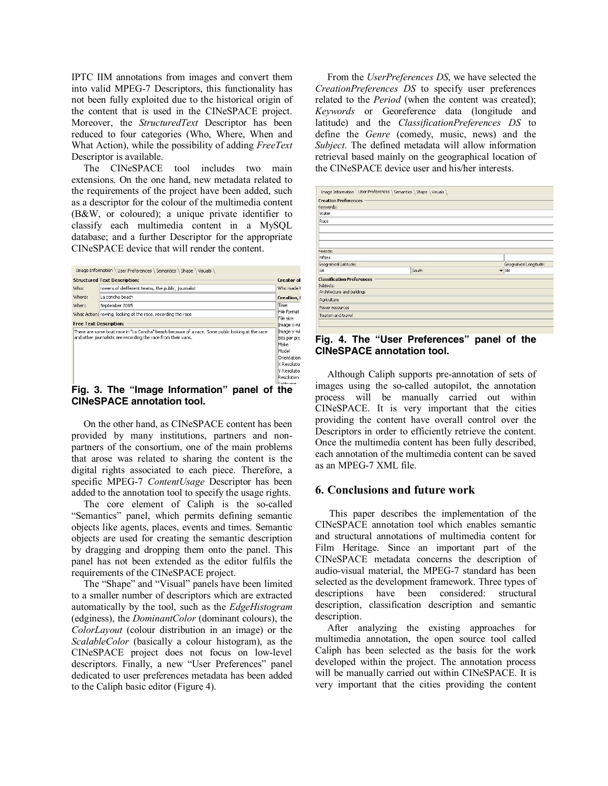IPTC IIM annotations from images and convert them into valid MPEG-7 Descriptors, this functionality has not been fully exploited due to the historical origin of the content that is used in the CINeSPACE project. Moreover, the *StructuredText* Descriptor has been reduced to four categories (Who, Where, When and What Action), while the possibility of adding *FreeText*  Descriptor is available.

The CINeSPACE tool includes two main extensions. On the one hand, new metadata related to the requirements of the project have been added, such as a descriptor for the colour of the multimedia content (B&W, or coloured); a unique private identifier to classify each multimedia content in a MySQL database; and a further Descriptor for the appropriate CINeSPACE device that will render the content.

| <b>Structured Text Description:</b>                                                                                                                               |                                                              | <b>Creator of</b>                                                                                      |
|-------------------------------------------------------------------------------------------------------------------------------------------------------------------|--------------------------------------------------------------|--------------------------------------------------------------------------------------------------------|
| Who:                                                                                                                                                              | rowers of deifferent teams, the public, journalist           | Who made                                                                                               |
| Where:                                                                                                                                                            | La concha beach                                              | Creation,                                                                                              |
| When:                                                                                                                                                             | September 2005                                               | Time<br>File format<br>File size                                                                       |
|                                                                                                                                                                   | What Action: rowing, looking at the race, recording the race |                                                                                                        |
| <b>Free Text Description:</b>                                                                                                                                     |                                                              | Image x-wi                                                                                             |
| There are some boat race in "La Concha" beach because of a race. Some public looking at the race<br>and other journalists are recording the race from their vans. |                                                              | Image y-wi<br>Bits per pix<br>Make<br>Model<br>Orientation<br>X Resolutio<br>Y Resolutio<br>Resolution |

#### **Fig. 3. The "Image Information" panel of the CINeSPACE annotation tool.**

On the other hand, as CINeSPACE content has been provided by many institutions, partners and nonpartners of the consortium, one of the main problems that arose was related to sharing the content is the digital rights associated to each piece. Therefore, a specific MPEG-7 *ContentUsage* Descriptor has been added to the annotation tool to specify the usage rights.

The core element of Caliph is the so-called "Semantics" panel, which permits defining semantic objects like agents, places, events and times. Semantic objects are used for creating the semantic description by dragging and dropping them onto the panel. This panel has not been extended as the editor fulfils the requirements of the CINeSPACE project.

The "Shape" and "Visual" panels have been limited to a smaller number of descriptors which are extracted automatically by the tool, such as the *EdgeHistogram* (edginess), the *DominantColor* (dominant colours), the *ColorLayout* (colour distribution in an image) or the *ScalableColor* (basically a colour histogram), as the CINeSPACE project does not focus on low-level descriptors. Finally, a new "User Preferences" panel dedicated to user preferences metadata has been added to the Caliph basic editor (Figure 4).

From the *UserPreferences DS*, we have selected the *CreationPreferences DS* to specify user preferences related to the *Period* (when the content was created); *Keywords* or Georeference data (longitude and latitude) and the *ClassificationPreferences DS* to define the *Genre* (comedy, music, news) and the *Subject*. The defined metadata will allow information retrieval based mainly on the geographical location of the CINeSPACE device user and his/her interests.



**Fig. 4. The "User Preferences" panel of the CINeSPACE annotation tool.** 

Although Caliph supports pre-annotation of sets of images using the so-called autopilot, the annotation process will be manually carried out within CINeSPACE. It is very important that the cities providing the content have overall control over the Descriptors in order to efficiently retrieve the content. Once the multimedia content has been fully described, each annotation of the multimedia content can be saved as an MPEG-7 XML file.

## **6. Conclusions and future work**

This paper describes the implementation of the CINeSPACE annotation tool which enables semantic and structural annotations of multimedia content for Film Heritage. Since an important part of the CINeSPACE metadata concerns the description of audio-visual material, the MPEG-7 standard has been selected as the development framework. Three types of descriptions have been considered: structural description, classification description and semantic description.

After analyzing the existing approaches for multimedia annotation, the open source tool called Caliph has been selected as the basis for the work developed within the project. The annotation process will be manually carried out within CINeSPACE. It is very important that the cities providing the content